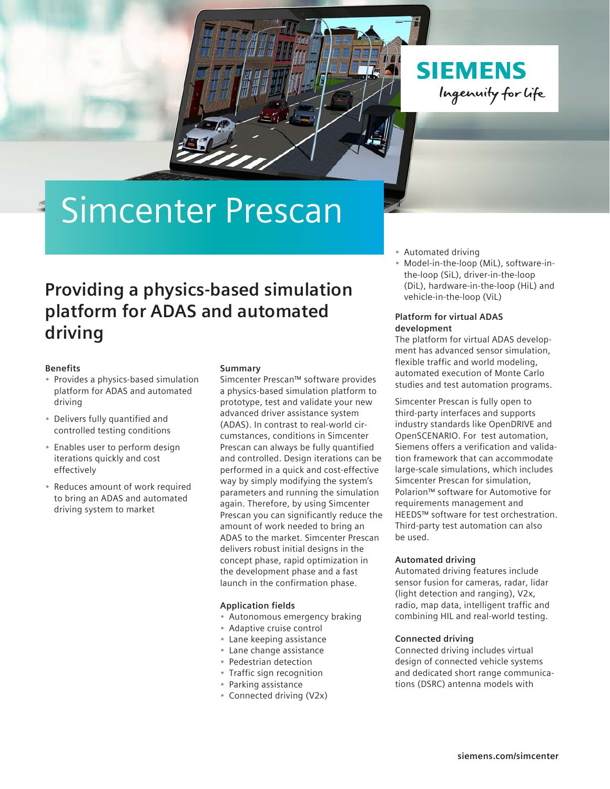**SIEMENS** Ingenuity for Life

# Simcenter Prescan

# **Providing a physics-based simulation platform for ADAS and automated driving**

# **Benefits**

- Provides a physics-based simulation platform for ADAS and automated driving
- Delivers fully quantified and controlled testing conditions
- Enables user to perform design iterations quickly and cost effectively
- Reduces amount of work required to bring an ADAS and automated driving system to market

# **Summary**

Simcenter Prescan™ software provides a physics-based simulation platform to prototype, test and validate your new advanced driver assistance system (ADAS). In contrast to real-world circumstances, conditions in Simcenter Prescan can always be fully quantified and controlled. Design iterations can be performed in a quick and cost-effective way by simply modifying the system's parameters and running the simulation again. Therefore, by using Simcenter Prescan you can significantly reduce the amount of work needed to bring an ADAS to the market. Simcenter Prescan delivers robust initial designs in the concept phase, rapid optimization in the development phase and a fast launch in the confirmation phase.

# **Application fields**

- Autonomous emergency braking
- Adaptive cruise control
- Lane keeping assistance
- Lane change assistance
- Pedestrian detection
- Traffic sign recognition
- Parking assistance
- Connected driving (V2x)
- Automated driving
- Model-in-the-loop (MiL), software-inthe-loop (SiL), driver-in-the-loop (DiL), hardware-in-the-loop (HiL) and vehicle-in-the-loop (ViL)

# **Platform for virtual ADAS development**

The platform for virtual ADAS development has advanced sensor simulation, flexible traffic and world modeling, automated execution of Monte Carlo studies and test automation programs.

Simcenter Prescan is fully open to third-party interfaces and supports industry standards like OpenDRIVE and OpenSCENARIO. For test automation, Siemens offers a verification and validation framework that can accommodate large-scale simulations, which includes Simcenter Prescan for simulation, Polarion™ software for Automotive for requirements management and HEEDS™ software for test orchestration. Third-party test automation can also be used.

# **Automated driving**

Automated driving features include sensor fusion for cameras, radar, lidar (light detection and ranging), V2x, radio, map data, intelligent traffic and combining HIL and real-world testing.

# **Connected driving**

Connected driving includes virtual design of connected vehicle systems and dedicated short range communications (DSRC) antenna models with